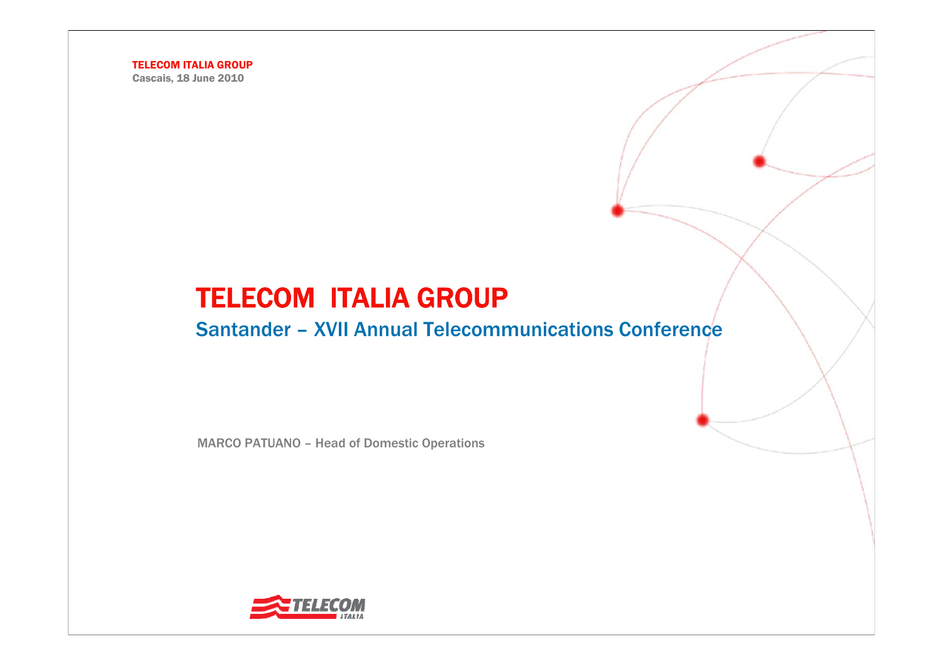Cascais, 18 June 2010

# TELECOM ITALIA GROUP

#### Santander – XVII Annual Telecommunications Conference

MARCO PATUANO – Head of Domestic Operations

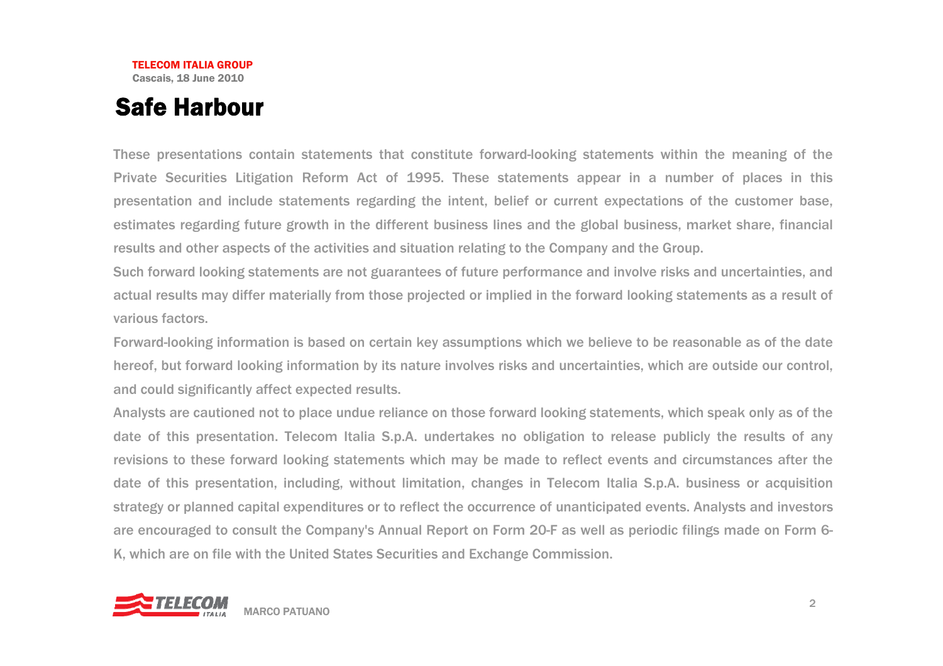## Safe Harbour

These presentations contain statements that constitute forward-looking statements within the meaning of the Private Securities Litigation Reform Act of 1995. These statements appear in a number of places in this presentation and include statements regarding the intent, belief or current expectations of the customer base, estimates regarding future growth in the different business lines and the global business, market share, financial results and other aspects of the activities and situation relating to the Company and the Group.

Such forward looking statements are not guarantees of future performance and involve risks and uncertainties, and actual results may differ materially from those projected or implied in the forward looking statements as a result of various factors.

Forward-looking information is based on certain key assumptions which we believe to be reasonable as of the date hereof, but forward looking information by its nature involves risks and uncertainties, which are outside our control, and could significantly affect expected results.

Analysts are cautioned not to place undue reliance on those forward looking statements, which speak only as of the date of this presentation. Telecom Italia S.p.A. undertakes no obligation to release publicly the results of any revisions to these forward looking statements which may be made to reflect events and circumstances after the date of this presentation, including, without limitation, changes in Telecom Italia S.p.A. business or acquisition strategy or planned capital expenditures or to reflect the occurrence of unanticipated events. Analysts and investors are encouraged to consult the Company's Annual Report on Form 20-F as well as periodic filings made on Form 6- K, which are on file with the United States Securities and Exchange Commission.

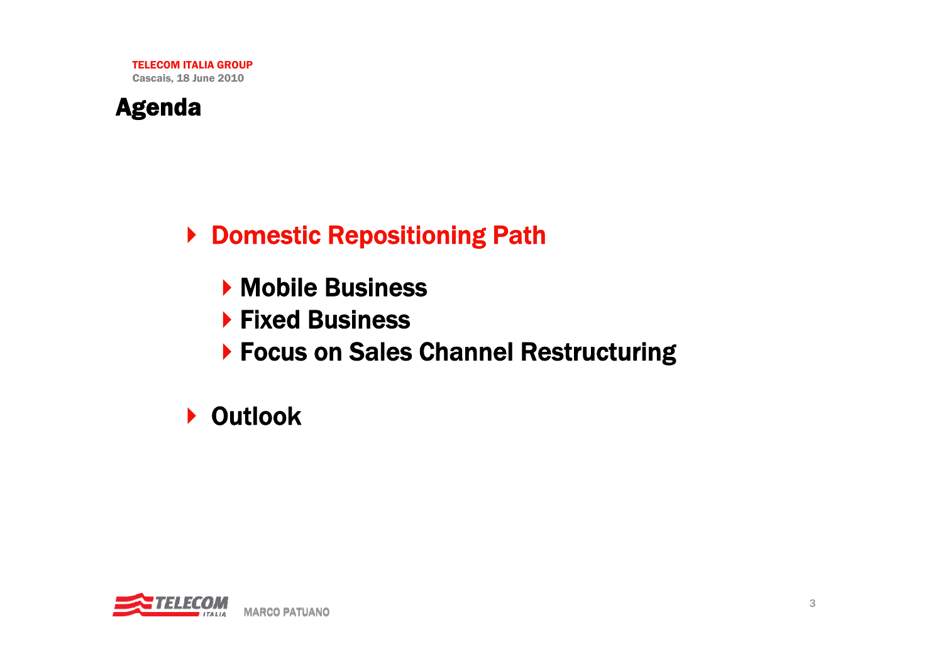

▶ Domestic Repositioning Path

- **Mobile Business**
- ▶ Fixed Business
- ▶ Focus on Sales Channel Restructuring

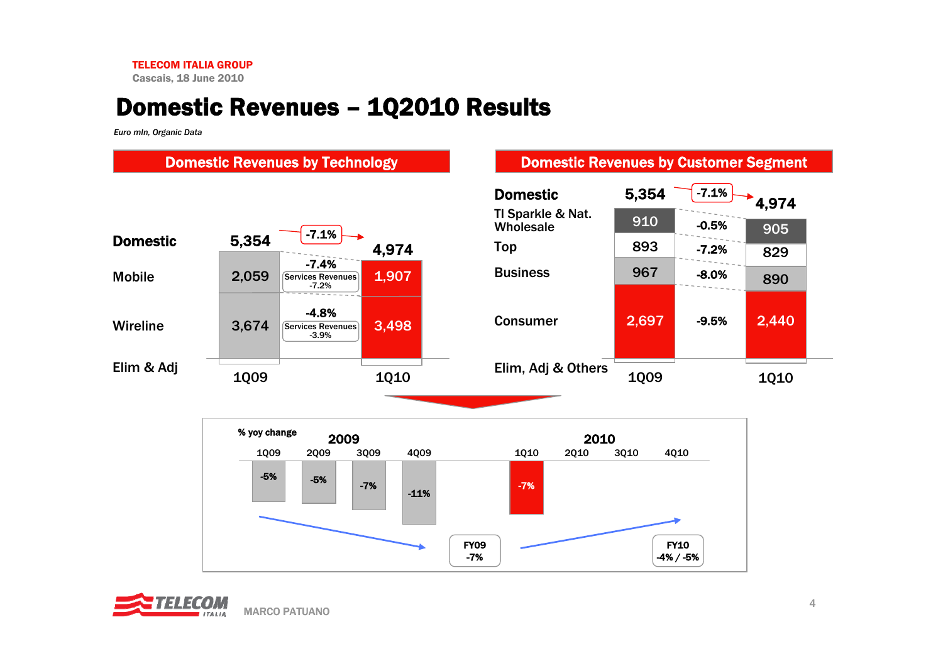Cascais, 18 June 2010

## Domestic Revenues – 1Q2010 Results

*Euro mln, Organic Data*



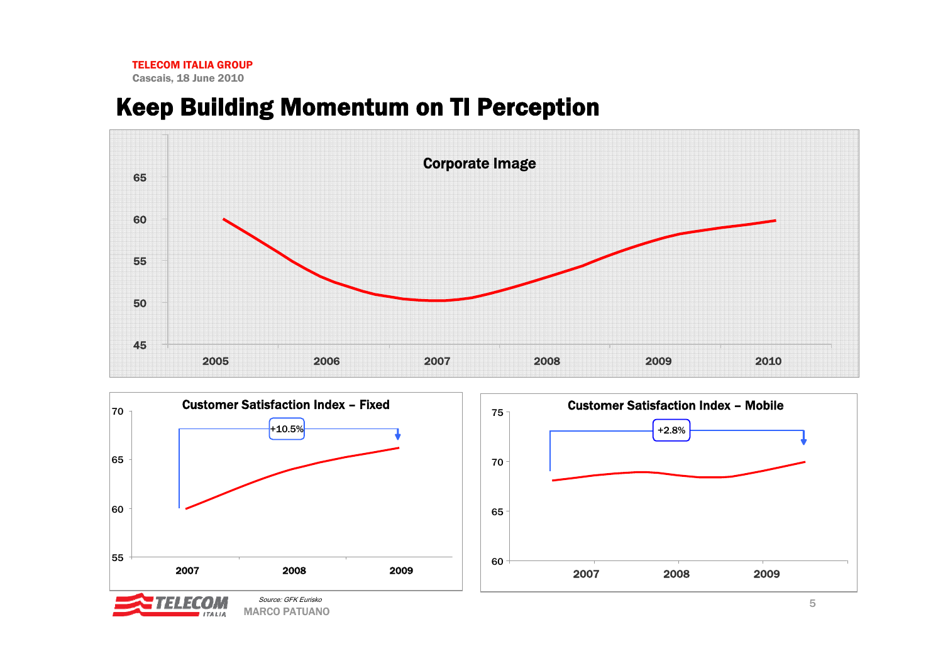## Keep Building Momentum on TI Perception





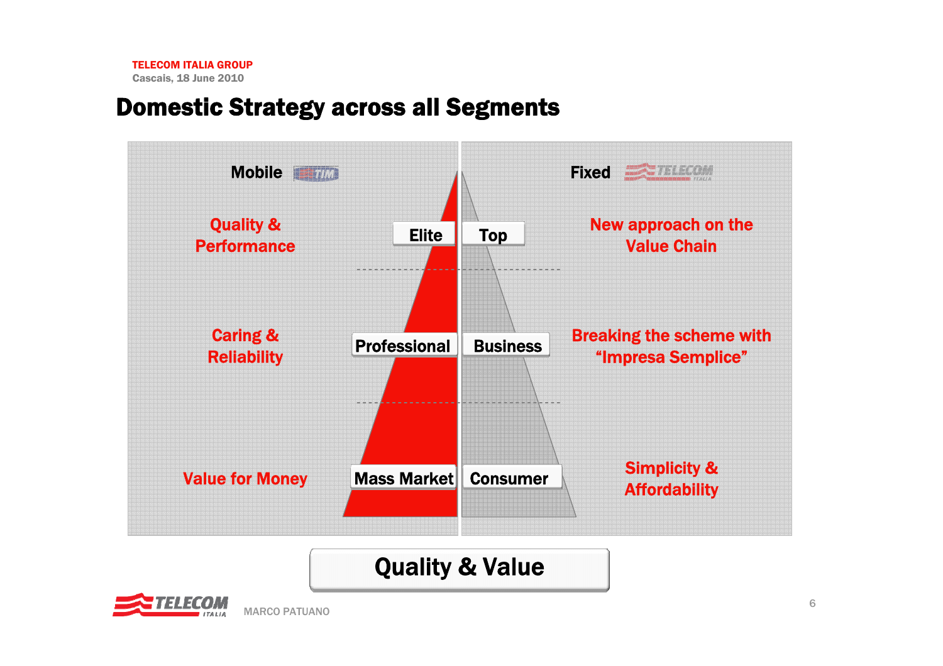#### Domestic Strategy across all Segments



# Quality & Value

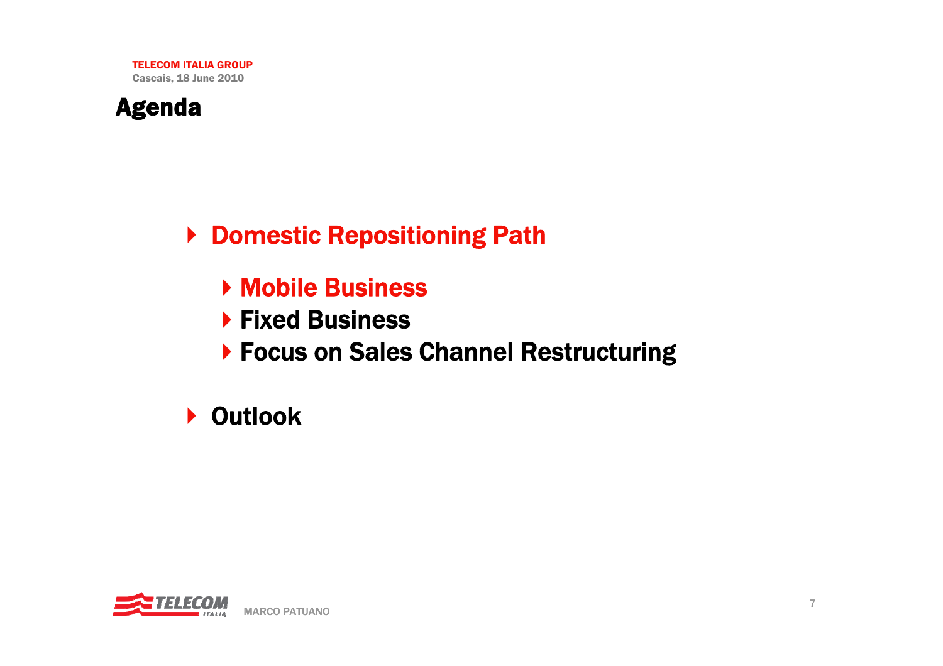

▶ Domestic Repositioning Path

- Mobile Business
- ▶ Fixed Business
- ▶ Focus on Sales Channel Restructuring

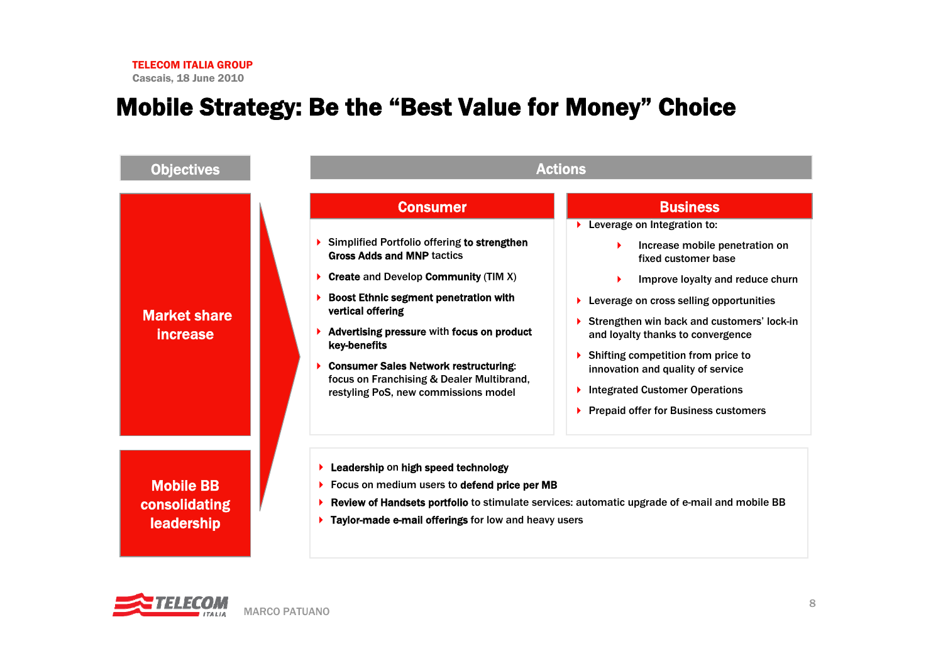#### Mobile Strategy: Be the "Best Value for Money" Choice



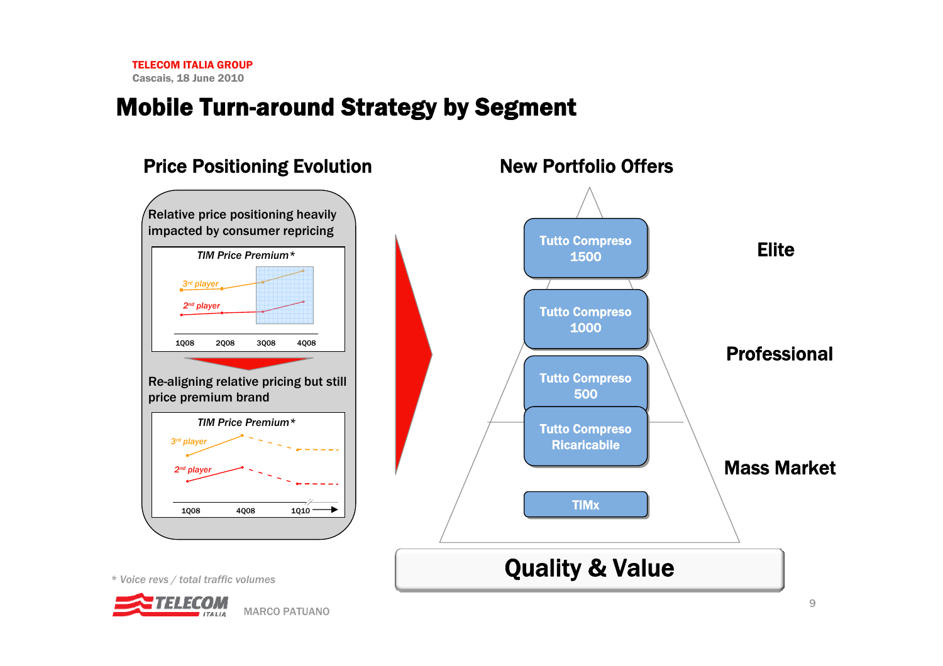#### Mobile Turn-around Strategy by Segment

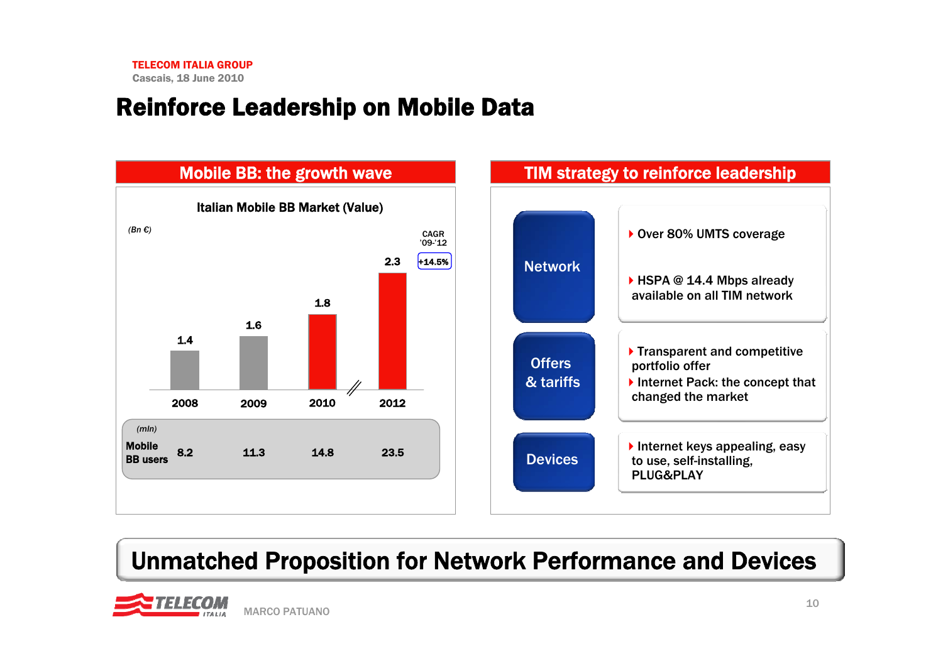## Reinforce Leadership on Mobile Data



# Unmatched Proposition for Network Performance and Devices

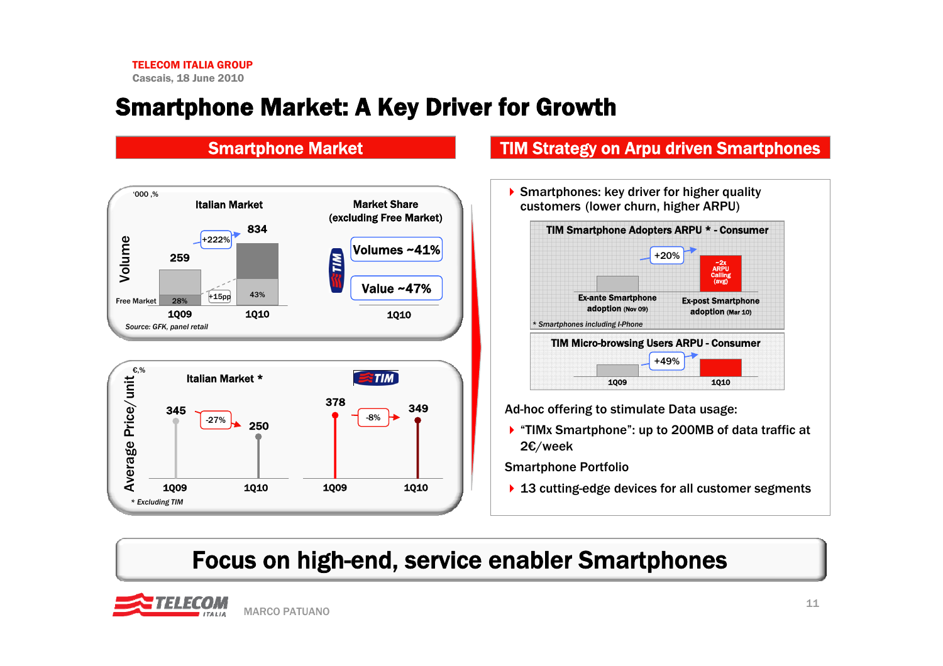## Smartphone Market: A Key Driver for Growth



#### Smartphone Market **TIM Strategy on Arpu driven Smartphones**

Smartphones: key driver for higher quality customers (lower churn, higher ARPU)



Ad-hoc offering to stimulate Data usage:

▶ "TIMx Smartphone": up to 200MB of data traffic at 2€/week

Smartphone Portfolio

▶ 13 cutting-edge devices for all customer segments

## Focus on high-end, service enabler Smartphones

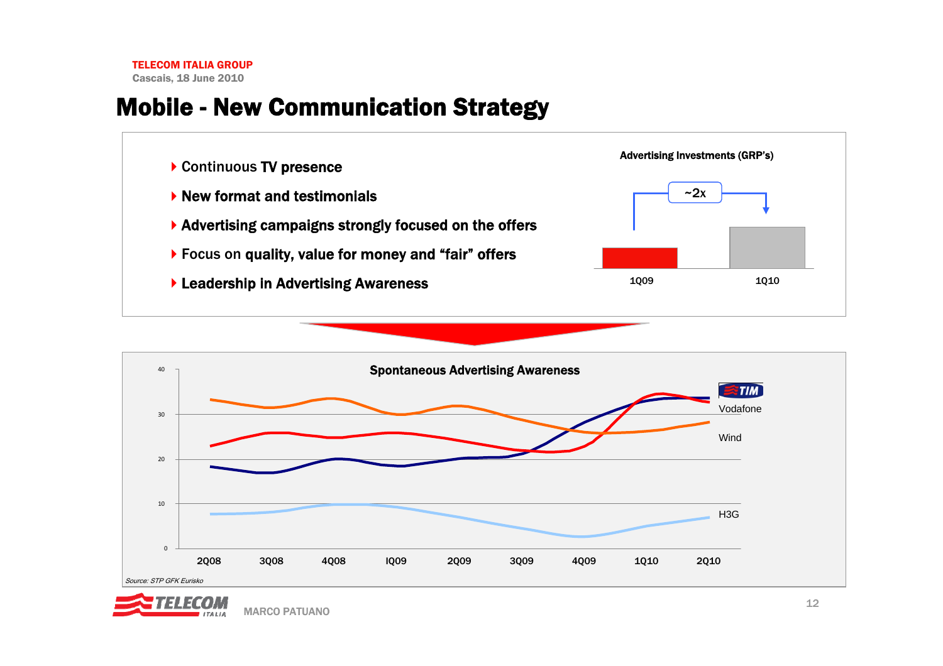Cascais, 18 June 2010

## Mobile - New Communication Strategy





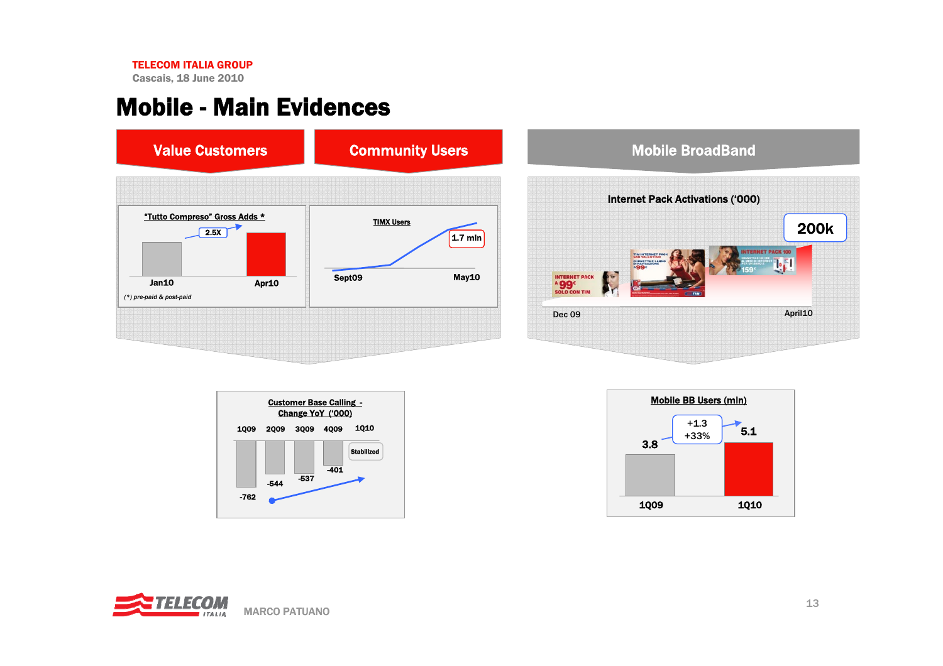Cascais, 18 June 2010

#### Mobile - Main Evidences



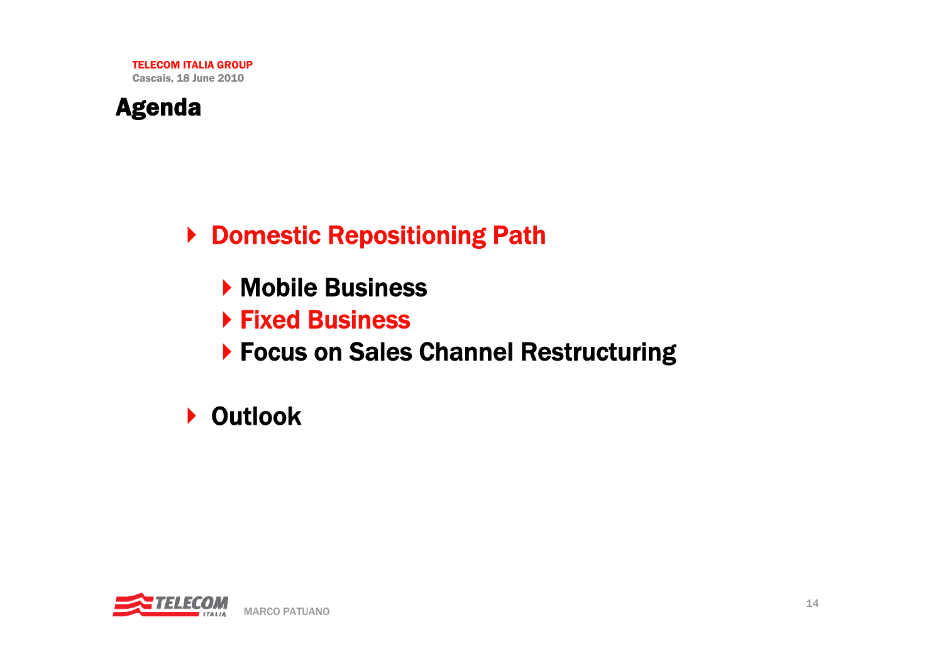

▶ Domestic Repositioning Path

- **Mobile Business**
- Fixed Business
- ▶ Focus on Sales Channel Restructuring

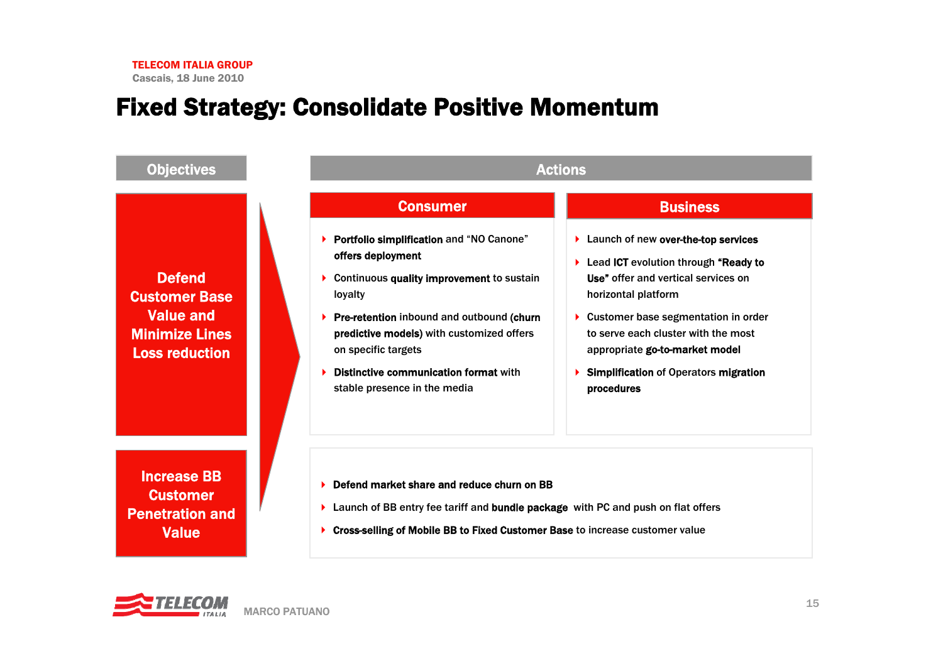#### Fixed Strategy: Consolidate Positive Momentum



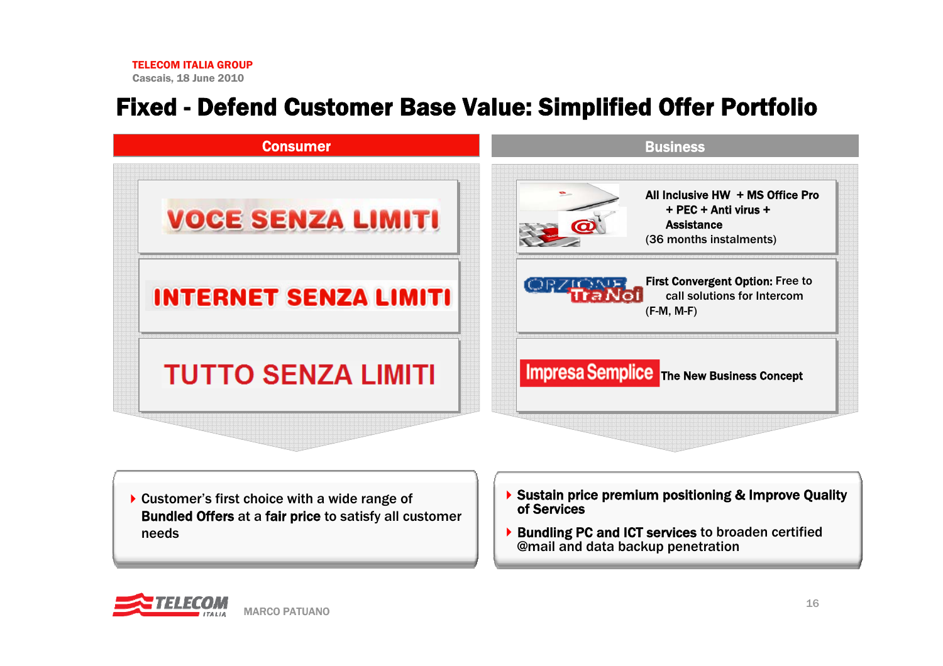## Fixed - Defend Customer Base Value: Simplified Offer Portfolio



- ▶ Customer's first choice with a wide range of Bundled Offers at a fair price to satisfy all customer needs
- ▶ Sustain price premium positioning & Improve Quality of Services
- ▶ Bundling PC and ICT services to broaden certified @mail and data backup penetration

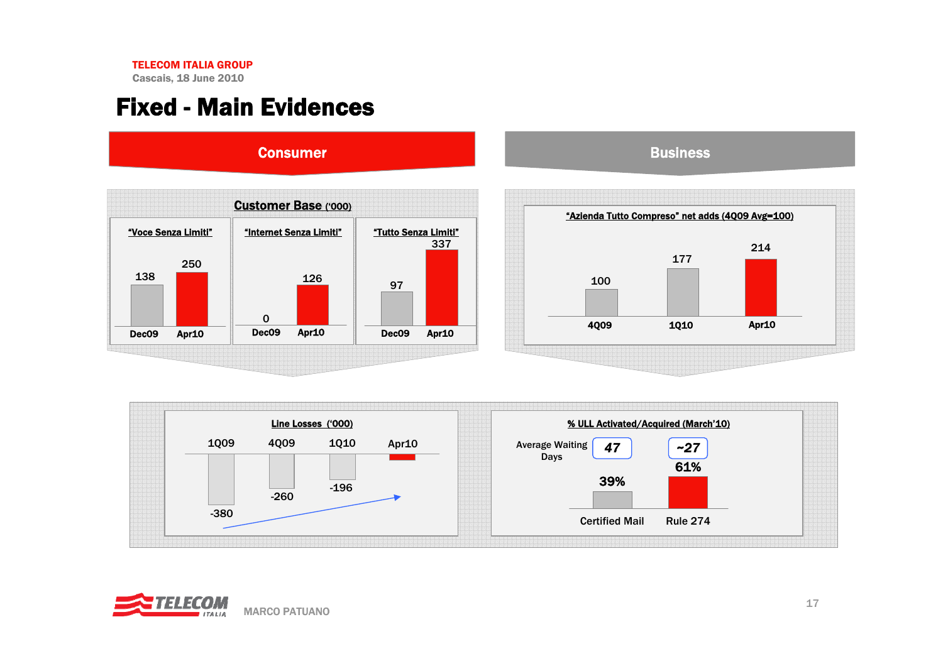Cascais, 18 June 2010

## Fixed - Main Evidences



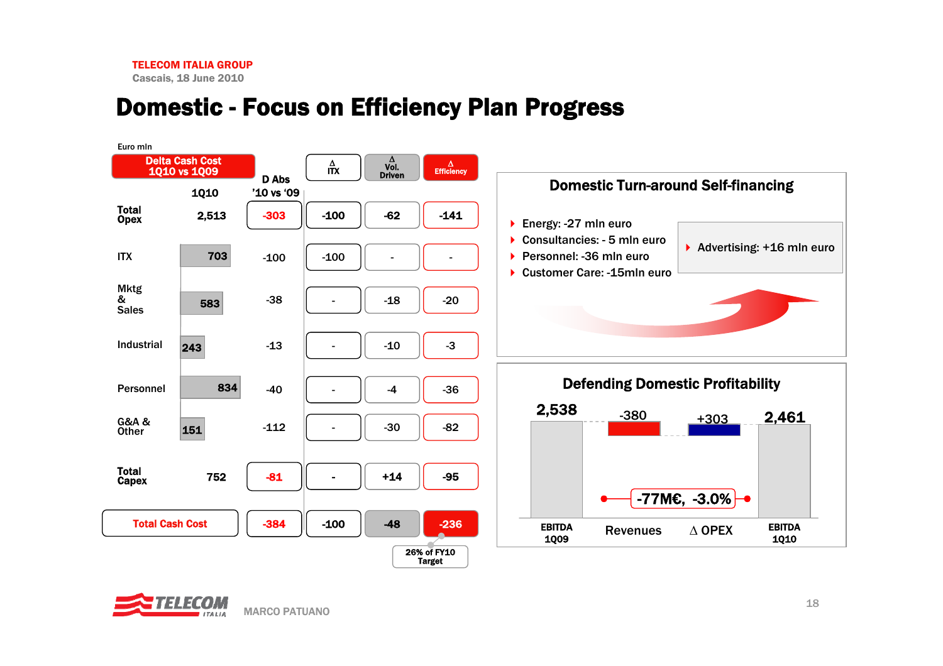Cascais, 18 June 2010

## Domestic - Focus on Efficiency Plan Progress



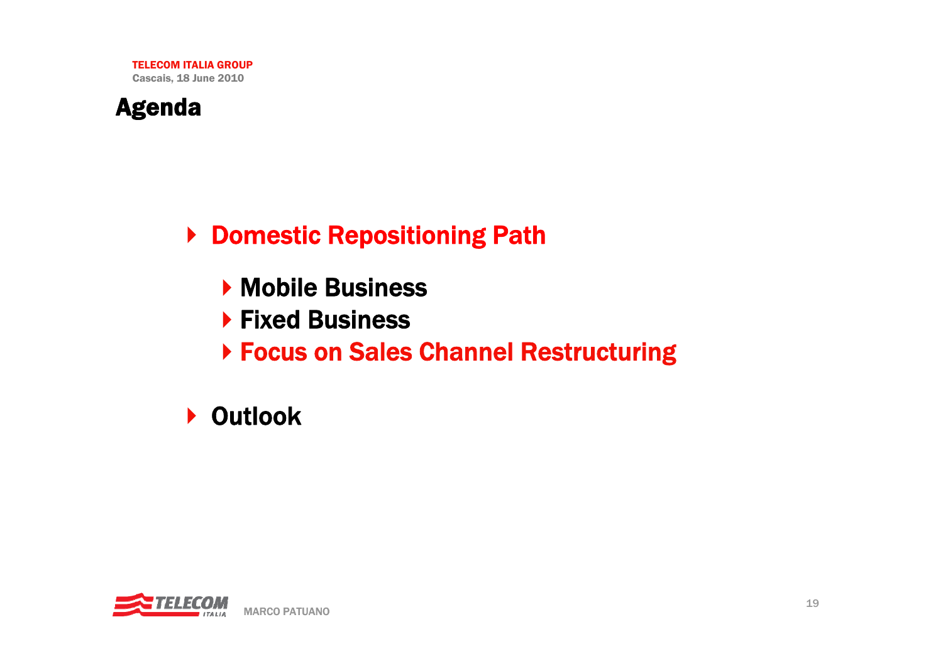

▶ Domestic Repositioning Path

- **Mobile Business**
- ▶ Fixed Business
- Focus on Sales Channel Restructuring

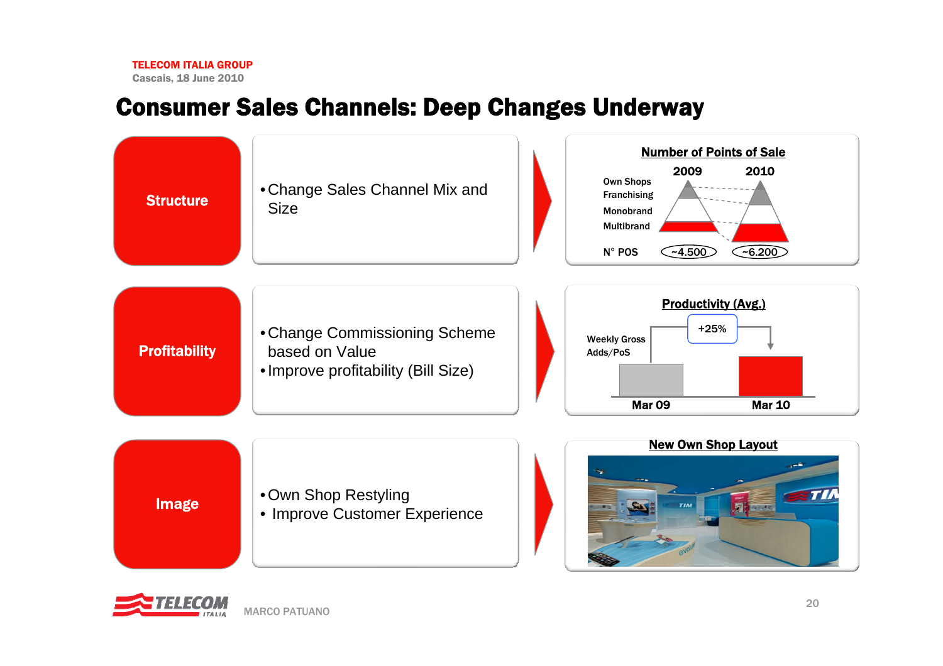Cascais, 18 June 2010

#### Consumer Sales Channels: Deep Changes Underway



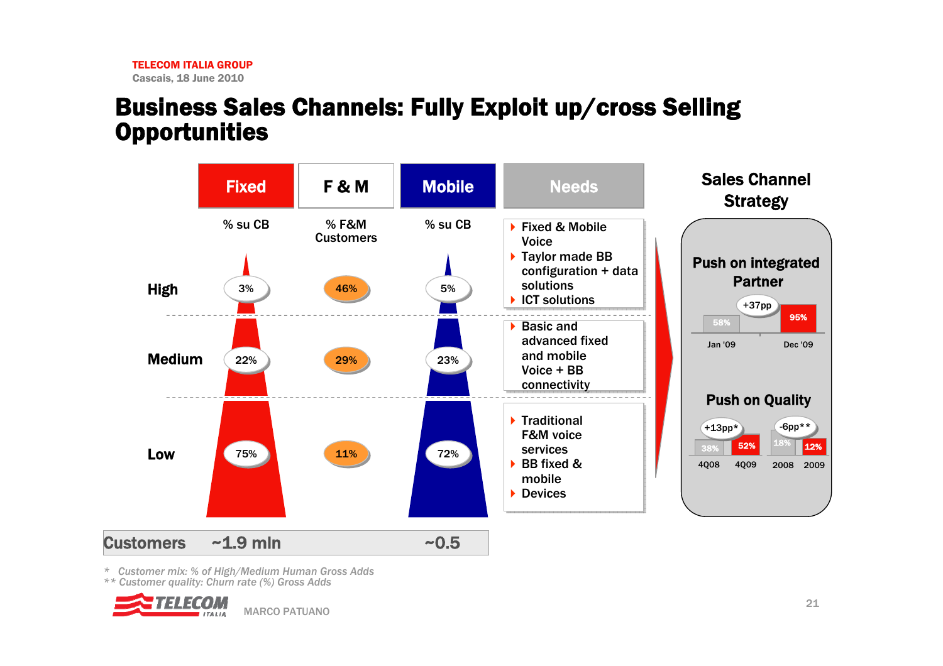#### Business Sales Channels: Fully Exploit up/cross Selling **Opportunities**



*\* Customer mix: % of High/Medium Human Gross Adds*

*\*\* Customer quality: Churn rate (%) Gross Adds*

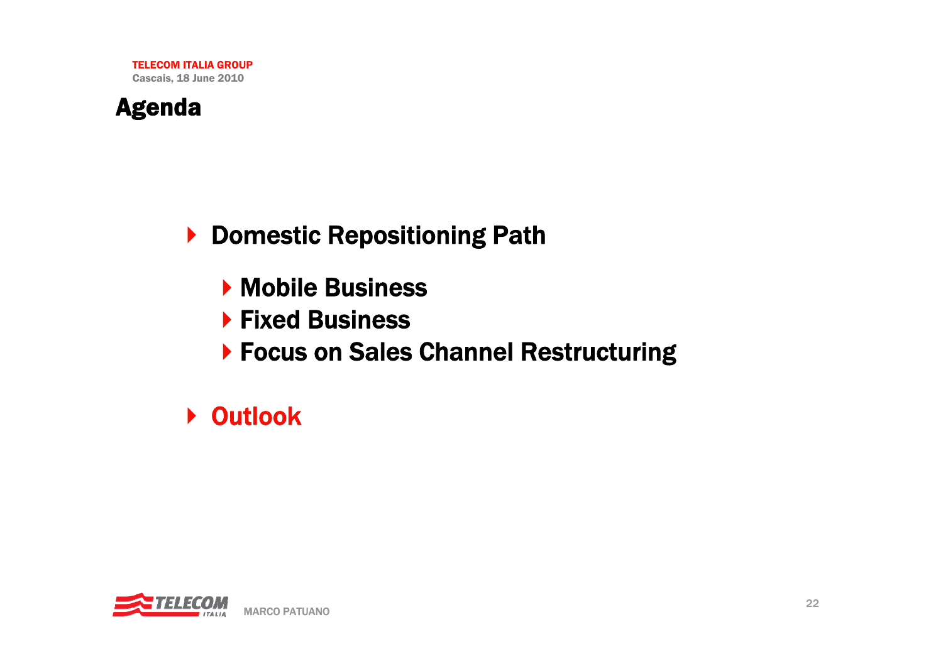

▶ Domestic Repositioning Path

- **Mobile Business**
- ▶ Fixed Business
- ▶ Focus on Sales Channel Restructuring